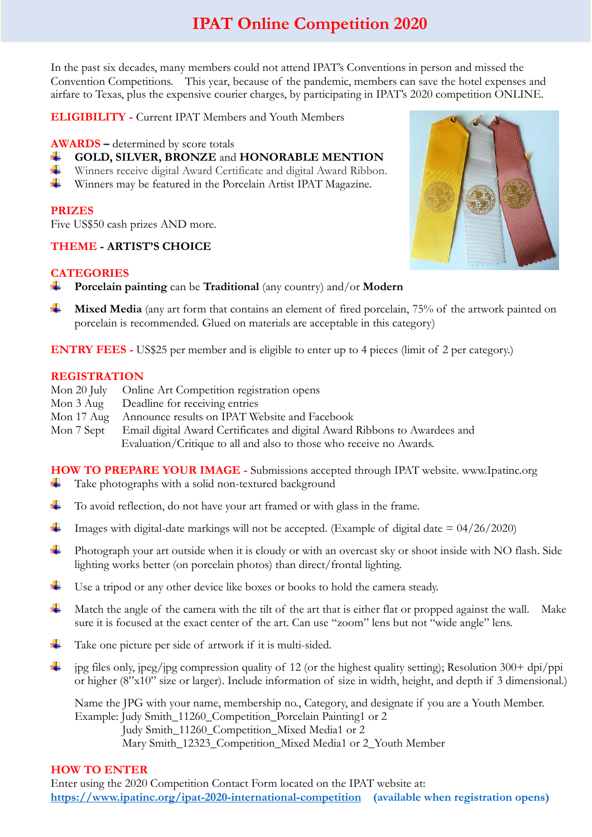# **IPAT Online Competition 2020**

In the past six decades, many members could not attend IPAT's Conventions in person and missed the Convention Competitions. This year, because of the pandemic, members can save the hotel expenses and airfare to Texas, plus the expensive courier charges, by participating in IPAT's 2020 competition ONLINE.

**ELIGIBILITY -** Current IPAT Members and Youth Members

#### **AWARDS –** determined by score totals

- **GOLD, SILVER, BRONZE** and **HONORABLE MENTION**
- Winners receive digital Award Certificate and digital Award Ribbon.
- ÷ Winners may be featured in the Porcelain Artist IPAT Magazine.

#### **PRIZES**

Five US\$50 cash prizes AND more.

## **THEME - ARTIST'S CHOICE**

## **CATEGORIES**

- ÷ **Porcelain painting** can be **Traditional** (any country) and/or **Modern**
- ÷ **Mixed Media** (any art form that contains an element of fired porcelain, 75% of the artwork painted on porcelain is recommended. Glued on materials are acceptable in this category)

**ENTRY FEES -** US\$25 per member and is eligible to enter up to 4 pieces (limit of 2 per category.)

## **REGISTRATION**

- Mon 20 July Online Art Competition registration opens
- Mon 3 Aug Deadline for receiving entries
- Mon 17 Aug Announce results on IPAT Website and Facebook
- Mon 7 Sept Email digital Award Certificates and digital Award Ribbons to Awardees and Evaluation/Critique to all and also to those who receive no Awards.

**HOW TO PREPARE YOUR IMAGE -** Submissions accepted through IPAT website. www.Ipatinc.org ۰. Take photographs with a solid non-textured background

- ÷ To avoid reflection, do not have your art framed or with glass in the frame.
- ÷ Images with digital-date markings will not be accepted. (Example of digital date  $= 04/26/2020$ )
- ÷ Photograph your art outside when it is cloudy or with an overcast sky or shoot inside with NO flash. Side lighting works better (on porcelain photos) than direct/frontal lighting.
- ÷ Use a tripod or any other device like boxes or books to hold the camera steady.
- Match the angle of the camera with the tilt of the art that is either flat or propped against the wall. Make -∎ sure it is focused at the exact center of the art. Can use "zoom" lens but not "wide angle" lens.
- ÷ Take one picture per side of artwork if it is multi-sided.
- ÷ jpg files only, jpeg/jpg compression quality of 12 (or the highest quality setting); Resolution 300+ dpi/ppi or higher (8"x10" size or larger). Include information of size in width, height, and depth if 3 dimensional.)

Name the JPG with your name, membership no., Category, and designate if you are a Youth Member. Example: Judy Smith\_11260\_Competition\_Porcelain Painting1 or 2 Judy Smith\_11260\_Competition\_Mixed Media1 or 2 Mary Smith\_12323\_Competition\_Mixed Media1 or 2\_Youth Member

## **HOW TO ENTER**

Enter using the 2020 Competition Contact Form located on the IPAT website at: **<https://www.ipatinc.org/ipat-2020-international-competition>(available when registration opens)**